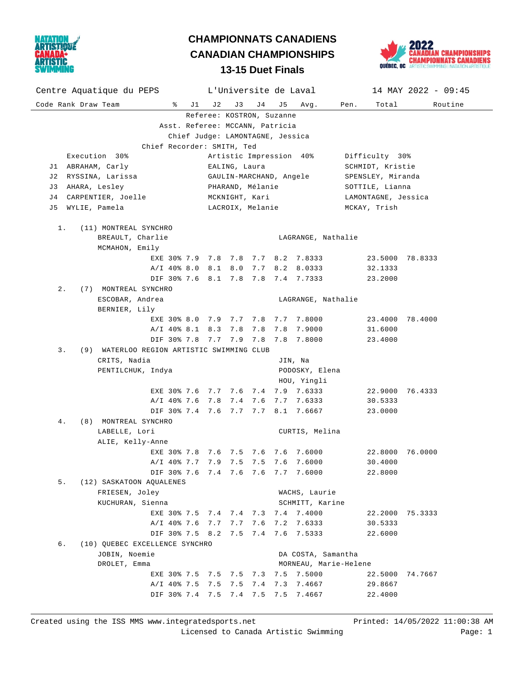

## **13-15 Duet Finals CHAMPIONNATS CANADIENS CANADIAN CHAMPIONSHIPS**



| Centre Aquatique du PEPS                         |                    |                         |                                             | L'Universite de Laval |     |                                    | $14$ MAY 2022 - 09:45      |         |  |
|--------------------------------------------------|--------------------|-------------------------|---------------------------------------------|-----------------------|-----|------------------------------------|----------------------------|---------|--|
| Code Rank Draw Team<br>ႜၟ                        | J 1                | J 2                     | J 3                                         | J 4                   | J 5 | Avg.                               | Total<br>Pen.              | Routine |  |
| Referee: KOSTRON, Suzanne                        |                    |                         |                                             |                       |     |                                    |                            |         |  |
| Asst. Referee: MCCANN, Patricia                  |                    |                         |                                             |                       |     |                                    |                            |         |  |
| Chief Judge: LAMONTAGNE, Jessica                 |                    |                         |                                             |                       |     |                                    |                            |         |  |
| Chief Recorder: SMITH, Ted                       |                    |                         |                                             |                       |     |                                    |                            |         |  |
| Execution 30%                                    |                    | Artistic Impression 40% |                                             |                       |     |                                    | Difficulty 30%             |         |  |
| J1 ABRAHAM, Carly                                |                    | EALING, Laura           |                                             |                       |     |                                    | SCHMIDT, Kristie           |         |  |
| J2 RYSSINA, Larissa                              |                    | GAULIN-MARCHAND, Angele |                                             |                       |     |                                    | SPENSLEY, Miranda          |         |  |
| J3 AHARA, Lesley                                 |                    | PHARAND, Mélanie        |                                             |                       |     |                                    | SOTTILE, Lianna            |         |  |
| J4 CARPENTIER, Joelle                            |                    | MCKNIGHT, Kari          |                                             |                       |     |                                    | LAMONTAGNE, Jessica        |         |  |
| WYLIE, Pamela<br>J 5                             |                    |                         |                                             | LACROIX, Melanie      |     |                                    | MCKAY, Trish               |         |  |
| $1$ .<br>(11) MONTREAL SYNCHRO                   |                    |                         |                                             |                       |     |                                    |                            |         |  |
| BREAULT, Charlie                                 |                    |                         |                                             |                       |     | LAGRANGE, Nathalie                 |                            |         |  |
| MCMAHON, Emily                                   |                    |                         |                                             |                       |     |                                    |                            |         |  |
|                                                  |                    |                         |                                             |                       |     | EXE 30% 7.9 7.8 7.8 7.7 8.2 7.8333 | 23.5000 78.8333            |         |  |
| A/I 40% 8.0 8.1 8.0                              |                    |                         |                                             |                       |     | 7.7 8.2 8.0333                     | 32.1333                    |         |  |
|                                                  |                    |                         |                                             |                       |     | DIF 30% 7.6 8.1 7.8 7.8 7.4 7.7333 | 23.2000                    |         |  |
| $2$ .<br>(7) MONTREAL SYNCHRO                    |                    |                         |                                             |                       |     |                                    |                            |         |  |
| ESCOBAR, Andrea                                  | LAGRANGE, Nathalie |                         |                                             |                       |     |                                    |                            |         |  |
| BERNIER, Lily                                    |                    |                         |                                             |                       |     |                                    |                            |         |  |
| EXE 30% 8.0 7.9 7.7 7.8                          |                    |                         |                                             |                       |     | 7.7 7.8000                         | 23.4000 78.4000            |         |  |
| A/I 40% 8.1 8.3 7.8                              |                    |                         |                                             | 7.8                   |     | 7.8 7.9000                         | 31.6000                    |         |  |
| DIF 30% 7.8 7.7 7.9 7.8                          |                    |                         |                                             |                       |     | 7.8 7.8000                         | 23.4000                    |         |  |
| 3.<br>(9) WATERLOO REGION ARTISTIC SWIMMING CLUB |                    |                         |                                             |                       |     |                                    |                            |         |  |
| CRITS, Nadia                                     |                    |                         |                                             |                       |     | JIN, Na                            |                            |         |  |
| PENTILCHUK, Indya                                | PODOSKY, Elena     |                         |                                             |                       |     |                                    |                            |         |  |
|                                                  |                    |                         |                                             |                       |     | HOU, Yingli                        |                            |         |  |
| EXE 30% 7.6 7.7 7.6 7.4                          |                    |                         |                                             |                       |     | 7.9 7.6333                         | 22.9000 76.4333            |         |  |
| A/I 40% 7.6 7.8 7.4 7.6                          |                    |                         |                                             |                       |     | 7.7 7.6333                         | 30.5333                    |         |  |
|                                                  |                    |                         |                                             |                       |     | DIF 30% 7.4 7.6 7.7 7.7 8.1 7.6667 | 23.0000                    |         |  |
| 4.<br>(8) MONTREAL SYNCHRO                       |                    |                         |                                             |                       |     |                                    |                            |         |  |
| LABELLE, Lori                                    |                    |                         |                                             |                       |     | CURTIS, Melina                     |                            |         |  |
| ALIE, Kelly-Anne                                 |                    |                         |                                             |                       |     |                                    |                            |         |  |
| EXE 30% 7.8 7.6 7.5 7.6                          |                    |                         |                                             |                       |     | 7.6 7.6000                         | 22.8000                    | 76.0000 |  |
| A/I 40% 7.7 7.9 7.5 7.5 7.6 7.6000               |                    |                         |                                             |                       |     |                                    | 30.4000                    |         |  |
| DIF 30% 7.6 7.4 7.6 7.6 7.7 7.6000               |                    |                         |                                             |                       |     |                                    | 22.8000                    |         |  |
| 5.<br>(12) SASKATOON AQUALENES                   |                    |                         |                                             |                       |     |                                    |                            |         |  |
| FRIESEN, Joley                                   |                    | WACHS, Laurie           |                                             |                       |     |                                    |                            |         |  |
| KUCHURAN, Sienna                                 |                    |                         |                                             |                       |     | SCHMITT, Karine                    |                            |         |  |
| EXE 30% 7.5 7.4 7.4 7.3<br>A/I 40% 7.6 7.7 7.7   |                    |                         |                                             | 7.6                   | 7.2 | 7.4 7.4000<br>7.6333               | 22.2000 75.3333<br>30.5333 |         |  |
| DIF 30% 7.5 8.2 7.5 7.4                          |                    |                         |                                             |                       |     | 7.6 7.5333                         | 22.6000                    |         |  |
| б.<br>(10) OUEBEC EXCELLENCE SYNCHRO             |                    |                         |                                             |                       |     |                                    |                            |         |  |
| JOBIN, Noemie                                    |                    |                         |                                             |                       |     |                                    |                            |         |  |
| DROLET, Emma                                     |                    |                         | DA COSTA, Samantha<br>MORNEAU, Marie-Helene |                       |     |                                    |                            |         |  |
| EXE 30% 7.5 7.5 7.5 7.3                          |                    |                         |                                             |                       | 7.5 | 7.5000                             | 22.5000 74.7667            |         |  |
| A/I 40% 7.5 7.5                                  |                    |                         | 7.5                                         | 7.4                   | 7.3 | 7.4667                             | 29.8667                    |         |  |
| DIF 30% 7.4 7.5                                  |                    |                         | 7.4 7.5                                     |                       | 7.5 | 7.4667                             | 22.4000                    |         |  |
|                                                  |                    |                         |                                             |                       |     |                                    |                            |         |  |